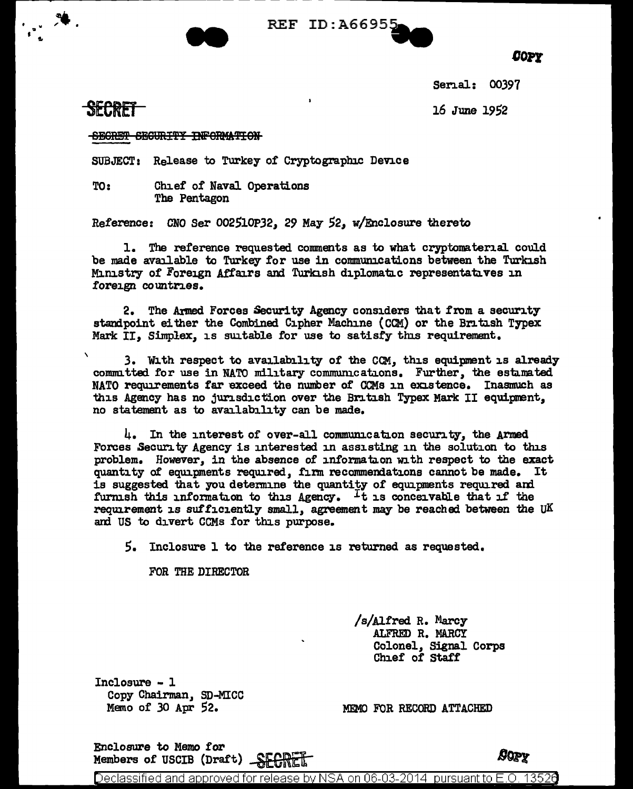



*oon* 

Senal: 00397

16 June 1952

## SECRET

\

**SECRET SECURITY INFORMATION** 

SUBJECT: Release to Turkey of Cryptographic Dence

TO: Chief of Naval Operations The Pentagon

Reference: CNO Ser 002510P32, 29 May 52, w/Enclosure thereto

1. The reference requested comments as to what cryptomaterial could be made available to Turkey for use in communications between the Turkish Ministry of Foreign Affairs and Turkish diplomatic representatives in foreign countries.

2. The Armed Forces Security Agency considers that from a security standpoint either the Combined Cipher Machine (CCM) or the British Typex Mark II. Simplex. is suitable for use to satisfy this requirement.

3. With respect to availability of the CCM, this equipment is already committed for use in NATO military communications. Further, the estimated NATO requirements far exceed the number of CCMs in existence. Inasmuch as this Agency has no jurisdiction over the British Typex Mark II equipment, no statement as to availability can be made.

 $\mu_{\bullet}$  In the interest of over-all communication security, the Armed Forces .Security Agency is interested in assisting in the solution to this problem. However, in the absence of information with respect to the exact quantity of equipments required, firm recommendations cannot be made. It is suggested that you determine the quantity of equipments required and furm.sh this information to this Agency. It is conceivable that if the requirement is sufficiently small, agreement may be reached between the UK and US to divert CCMs for this purpose.

S. Inclosure 1 to the reference is returned as requested.

FOR THE DIRECTOR

/s/AJ.fred R. Marcy ALFRED R. MARCY Colonel, Signal Corps Chief of Staff

Inclosure - 1 Copy Chairman, SD-MICC Memo of 30 Apr 52.

MEMO FOR RECORD ATTACHED

Enclosure to Memo for Members of USCIB (Draft)  $\frac{C}{C}$ 

*UQPY* 

Declassified and approved for release by NSA on 06-03-2014 pursuant to E.O. 1352 $\theta$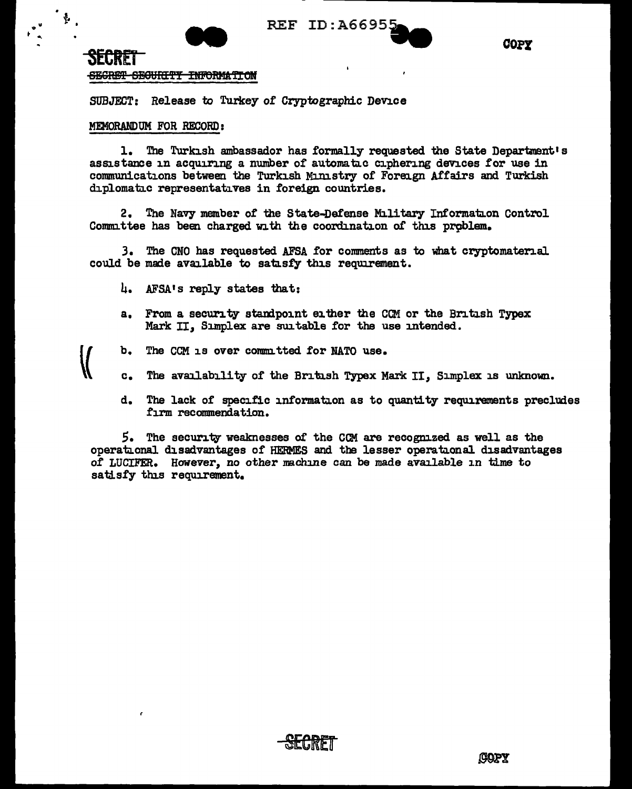

**COPY** 

## SECRET <del>SECRET SECURITY INFORMATION</del>

SUBJECT: Release to Turkey of Cryptographic Device

## MEMORANDUM FOR RECORD:

 $\sum_{i=1}^n$ 

1. The Turkish ambassador has formally requested the State Department's assistance in acquiring a number of automatic ciphering devices for use in communications between the Turkish Ministry of Foreign Affairs and Turkish diplomatic representatives in foreign countries.

2. The Navy member of the State-Defense Military Information Control Committee has been charged with the coordination of this problem.

3. The CNO has requested AFSA for comments as to what cryptomaterial could be made available to satisfy this requirement.

- 4. AFSA's reply states that:
- a. From a security standpoint either the CCM or the British Typex Mark II, Simplex are suitable for the use intended.
- $\mathbf{b}_{\bullet}$ The CCM is over committed for NATO use.
- The availability of the British Typex Mark II, Simplex is unknown. **.**
- d. The lack of specific information as to quantity requirements precludes firm recommendation.

5. The security weaknesses of the CCM are recognized as well as the operational disadvantages of HERMES and the lesser operational disadvantages of LUCIFER. However, no other machine can be made available in time to satisfy this requirement.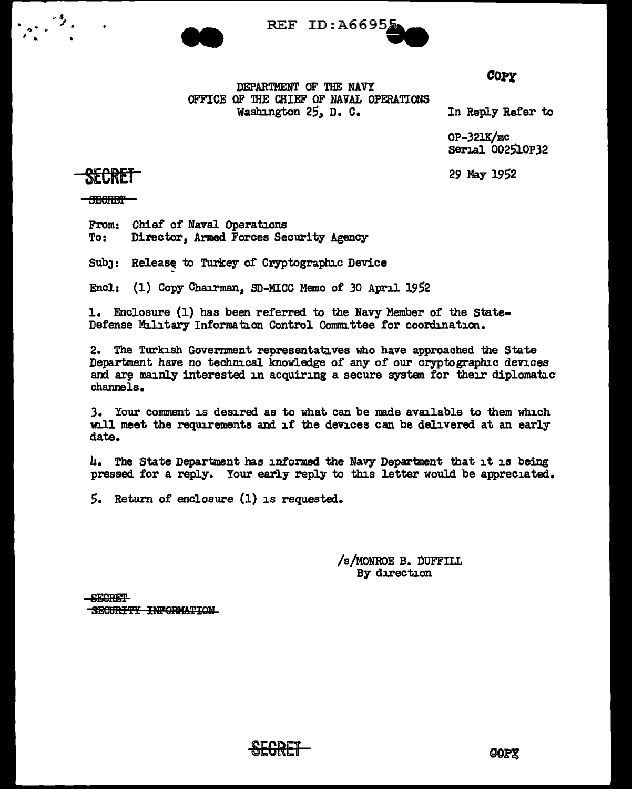



**COPY** 

DEPARTMENT OF THE NAVY OFFICE OF THE CHIEF OF NAVAL OPERATIONS Washington 25, D. C.

In Reply Refer to

0P-321K/mc Serial 002510P32

29 May 1952

SECRET

**SECRET** 

From: Chief of Naval Operations To: Director, Armed Forces Security Agency

Subj: Release to Turkey of Cryptographic Device

Encl: (1) Copy Chairman, SD-MICC Memo of 30 April 1952

1. Enclosure (1) has been referred to the Navy Member of the State-Defense Military Information Control Committee for coordination.

The Turkish Government representatives who have approached the State Department have no technical knowledge of any of our cryptographic devices and are mainly interested in acquiring a secure system for their diplomatic channels.

3. Your comment is desired as to what can be made available to them which will meet the requirements and if the devices can be delivered at an early date.

4. The State Department has informed the Navy Department that it is being pressed for a reply. Your early reply to this letter would be appreciated.

 $5.$  Return of enclosure (1) is requested.

/s/MONROE B. DUFFILL By direction

**SECRET** SECURITY INFORMATION

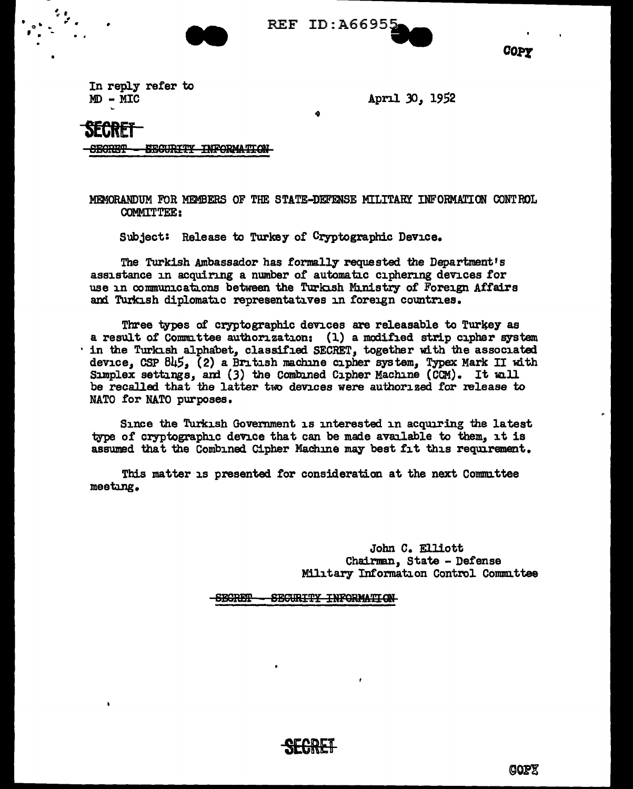

REF ID: A66955



In reply refer to  $MD - MIC$ 

April 30, 1952

Secret

SEGURITY INFORMATION **SECRET** 

MEMORANDUM FOR MEMBERS OF THE STATE-DEFENSE MILITARY INFORMATION CONTROL **COMMITTEE:** 

Subject: Release to Turkey of Cryptographic Device.

The Turkish Ambassador has formally requested the Department's assistance in acquiring a number of automatic ciphering devices for use in communications between the Turkish Ministry of Foreign Affairs and Turkish diplomatic representatives in foreign countries.

Three types of cryptographic devices are releasable to Turkey as a result of Committee authorization: (1) a modified strip cipher system ' in the Turkish alphabet, classified SECRET, together with the associated device. CSP 845, (2) a British machine cipher system, Typex Mark II with Simplex settings, and (3) the Combined Cipher Machine (CCM). It will be recalled that the latter two devices were authorized for release to NATO for NATO purposes.

Since the Turkish Government is interested in acquiring the latest type of cryptographic device that can be made available to them, it is assumed that the Combined Cipher Machine may best fit this requirement.

This matter is presented for consideration at the next Committee meetung.

> John C. Elliott Chairman, State - Defense Military Information Control Committee

> > COPY

**SECRET** SECURITY INFORMATION